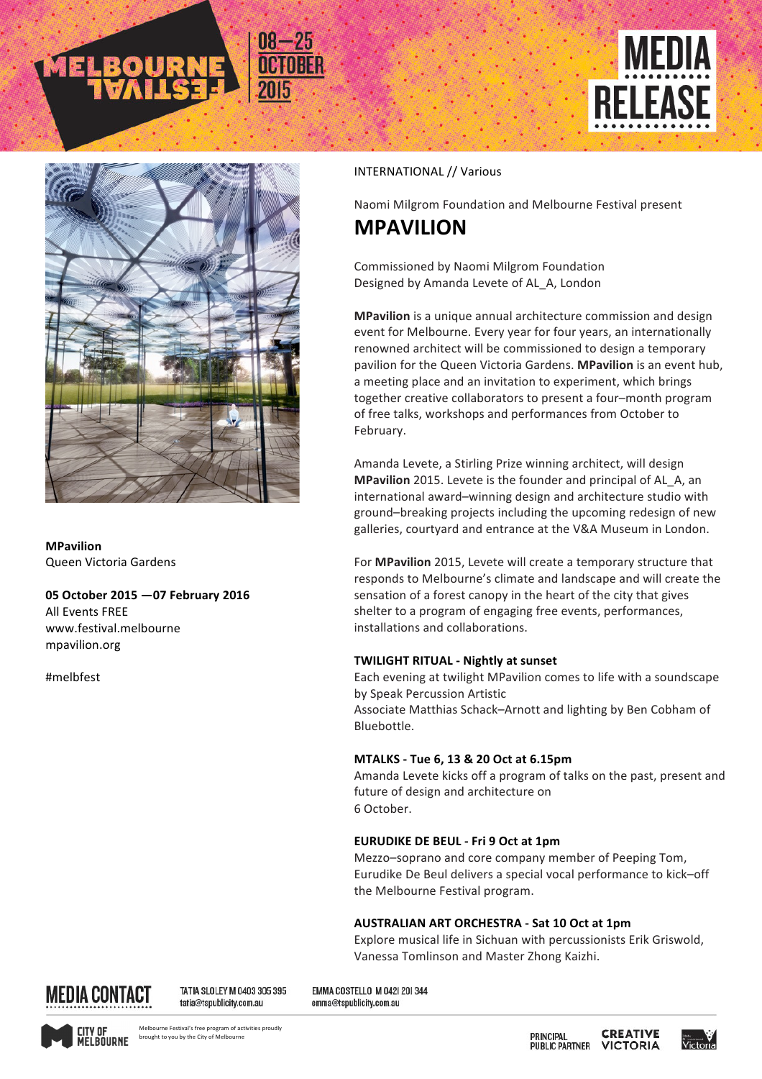





**MPavilion** Queen Victoria Gardens

## **05 October 2015 —07 February 2016**

**All Events FREE** www.festival.melbourne mpavilion.org

#melbfest

### INTERNATIONAL // Various

Naomi Milgrom Foundation and Melbourne Festival present

# **MPAVILION**

Commissioned by Naomi Milgrom Foundation Designed by Amanda Levete of AL\_A, London

**MPavilion** is a unique annual architecture commission and design event for Melbourne. Every year for four years, an internationally renowned architect will be commissioned to design a temporary pavilion for the Queen Victoria Gardens. MPavilion is an event hub, a meeting place and an invitation to experiment, which brings together creative collaborators to present a four-month program of free talks, workshops and performances from October to February.

Amanda Levete, a Stirling Prize winning architect, will design **MPavilion** 2015. Levete is the founder and principal of AL\_A, an international award-winning design and architecture studio with ground–breaking projects including the upcoming redesign of new galleries, courtyard and entrance at the V&A Museum in London.

For **MPavilion** 2015, Levete will create a temporary structure that responds to Melbourne's climate and landscape and will create the sensation of a forest canopy in the heart of the city that gives shelter to a program of engaging free events, performances, installations and collaborations.

## **TWILIGHT RITUAL - Nightly at sunset**

Each evening at twilight MPavilion comes to life with a soundscape by Speak Percussion Artistic Associate Matthias Schack-Arnott and lighting by Ben Cobham of Bluebottle.

## **MTALKS - Tue 6, 13 & 20 Oct at 6.15pm**

Amanda Levete kicks off a program of talks on the past, present and future of design and architecture on 6 October.

## **EURUDIKE DE BEUL - Fri 9 Oct at 1pm**

Mezzo-soprano and core company member of Peeping Tom, Eurudike De Beul delivers a special vocal performance to kick-off the Melbourne Festival program.

## **AUSTRALIAN ART ORCHESTRA - Sat 10 Oct at 1pm**

Explore musical life in Sichuan with percussionists Erik Griswold, Vanessa Tomlinson and Master Zhong Kaizhi.



TATIA SLOLEY M 0403 305 395 tatia@tspublicity.com.au

EMMA COSTELLO M 0421 201344 emma@tspublicity.com.au



**CREATIVE** PRINCIPAL **PUBLIC PARTNER VICTORIA**